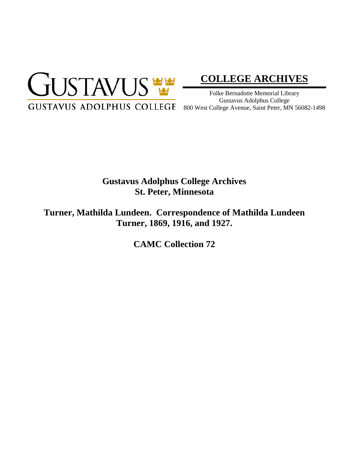

# **[COLLEGE ARCHIVES](http://gustavus.edu/academics/library/archives/)**

Folke Bernadotte Memorial Library Gustavus Adolphus College

# **Gustavus Adolphus College Archives St. Peter, Minnesota**

**Turner, Mathilda Lundeen. Correspondence of Mathilda Lundeen Turner, 1869, 1916, and 1927.**

**CAMC Collection 72**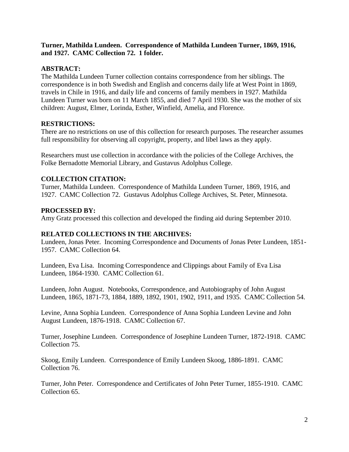## **Turner, Mathilda Lundeen. Correspondence of Mathilda Lundeen Turner, 1869, 1916, and 1927. CAMC Collection 72. 1 folder.**

## **ABSTRACT:**

The Mathilda Lundeen Turner collection contains correspondence from her siblings. The correspondence is in both Swedish and English and concerns daily life at West Point in 1869, travels in Chile in 1916, and daily life and concerns of family members in 1927. Mathilda Lundeen Turner was born on 11 March 1855, and died 7 April 1930. She was the mother of six children: August, Elmer, Lorinda, Esther, Winfield, Amelia, and Florence.

#### **RESTRICTIONS:**

There are no restrictions on use of this collection for research purposes. The researcher assumes full responsibility for observing all copyright, property, and libel laws as they apply.

Researchers must use collection in accordance with the policies of the College Archives, the Folke Bernadotte Memorial Library, and Gustavus Adolphus College.

#### **COLLECTION CITATION:**

Turner, Mathilda Lundeen. Correspondence of Mathilda Lundeen Turner, 1869, 1916, and 1927. CAMC Collection 72. Gustavus Adolphus College Archives, St. Peter, Minnesota.

#### **PROCESSED BY:**

Amy Gratz processed this collection and developed the finding aid during September 2010.

#### **RELATED COLLECTIONS IN THE ARCHIVES:**

Lundeen, Jonas Peter. Incoming Correspondence and Documents of Jonas Peter Lundeen, 1851- 1957. CAMC Collection 64.

Lundeen, Eva Lisa. Incoming Correspondence and Clippings about Family of Eva Lisa Lundeen, 1864-1930. CAMC Collection 61.

Lundeen, John August. Notebooks, Correspondence, and Autobiography of John August Lundeen, 1865, 1871-73, 1884, 1889, 1892, 1901, 1902, 1911, and 1935. CAMC Collection 54.

Levine, Anna Sophia Lundeen. Correspondence of Anna Sophia Lundeen Levine and John August Lundeen, 1876-1918. CAMC Collection 67.

Turner, Josephine Lundeen. Correspondence of Josephine Lundeen Turner, 1872-1918. CAMC Collection 75.

Skoog, Emily Lundeen. Correspondence of Emily Lundeen Skoog, 1886-1891. CAMC Collection 76.

Turner, John Peter. Correspondence and Certificates of John Peter Turner, 1855-1910. CAMC Collection 65.